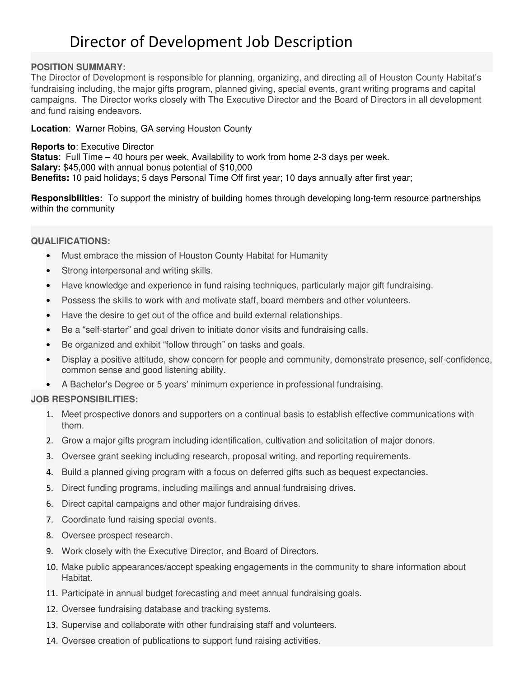## Director of Development Job Description

#### **POSITION SUMMARY:**

The Director of Development is responsible for planning, organizing, and directing all of Houston County Habitat's fundraising including, the major gifts program, planned giving, special events, grant writing programs and capital campaigns. The Director works closely with The Executive Director and the Board of Directors in all development and fund raising endeavors.

#### **Location**: Warner Robins, GA serving Houston County

**Reports to**: Executive Director **Status**: Full Time – 40 hours per week, Availability to work from home 2-3 days per week. **Salary:** \$45,000 with annual bonus potential of \$10,000 **Benefits:** 10 paid holidays; 5 days Personal Time Off first year; 10 days annually after first year;

**Responsibilities:** To support the ministry of building homes through developing long-term resource partnerships within the community

#### **QUALIFICATIONS:**

- Must embrace the mission of Houston County Habitat for Humanity
- Strong interpersonal and writing skills.
- Have knowledge and experience in fund raising techniques, particularly major gift fundraising.
- Possess the skills to work with and motivate staff, board members and other volunteers.
- Have the desire to get out of the office and build external relationships.
- Be a "self-starter" and goal driven to initiate donor visits and fundraising calls.
- Be organized and exhibit "follow through" on tasks and goals.
- Display a positive attitude, show concern for people and community, demonstrate presence, self-confidence, common sense and good listening ability.
- A Bachelor's Degree or 5 years' minimum experience in professional fundraising.

### **JOB RESPONSIBILITIES:**

- 1. Meet prospective donors and supporters on a continual basis to establish effective communications with them.
- 2. Grow a major gifts program including identification, cultivation and solicitation of major donors.
- 3. Oversee grant seeking including research, proposal writing, and reporting requirements.
- 4. Build a planned giving program with a focus on deferred gifts such as bequest expectancies.
- 5. Direct funding programs, including mailings and annual fundraising drives.
- 6. Direct capital campaigns and other major fundraising drives.
- 7. Coordinate fund raising special events.
- 8. Oversee prospect research.
- 9. Work closely with the Executive Director, and Board of Directors.
- 10. Make public appearances/accept speaking engagements in the community to share information about Habitat.
- 11. Participate in annual budget forecasting and meet annual fundraising goals.
- 12. Oversee fundraising database and tracking systems.
- 13. Supervise and collaborate with other fundraising staff and volunteers.
- 14. Oversee creation of publications to support fund raising activities.